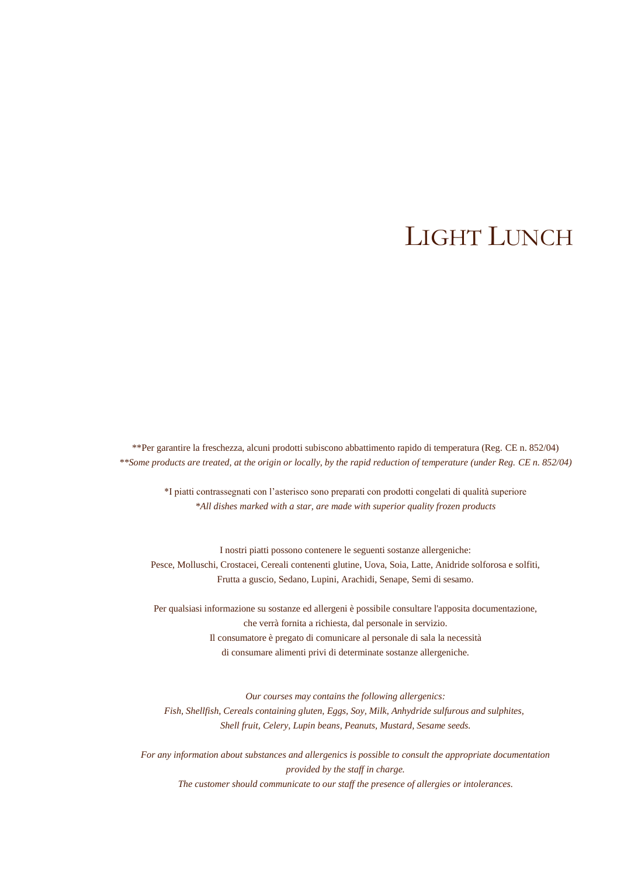# LIGHT LUNCH

\*\*Per garantire la freschezza, alcuni prodotti subiscono abbattimento rapido di temperatura (Reg. CE n. 852/04) *\*\*Some products are treated, at the origin or locally, by the rapid reduction of temperature (under Reg. CE n. 852/04)*

\*I piatti contrassegnati con l'asterisco sono preparati con prodotti congelati di qualità superiore *\*All dishes marked with a star, are made with superior quality frozen products*

I nostri piatti possono contenere le seguenti sostanze allergeniche: Pesce, Molluschi, Crostacei, Cereali contenenti glutine, Uova, Soia, Latte, Anidride solforosa e solfiti, Frutta a guscio, Sedano, Lupini, Arachidi, Senape, Semi di sesamo.

Per qualsiasi informazione su sostanze ed allergeni è possibile consultare l'apposita documentazione, che verrà fornita a richiesta, dal personale in servizio. Il consumatore è pregato di comunicare al personale di sala la necessità di consumare alimenti privi di determinate sostanze allergeniche.

*Our courses may contains the following allergenics: Fish, Shellfish, Cereals containing gluten, Eggs, Soy, Milk, Anhydride sulfurous and sulphites, Shell fruit, Celery, Lupin beans, Peanuts, Mustard, Sesame seeds.*

*For any information about substances and allergenics is possible to consult the appropriate documentation provided by the staff in charge. The customer should communicate to our staff the presence of allergies or intolerances.*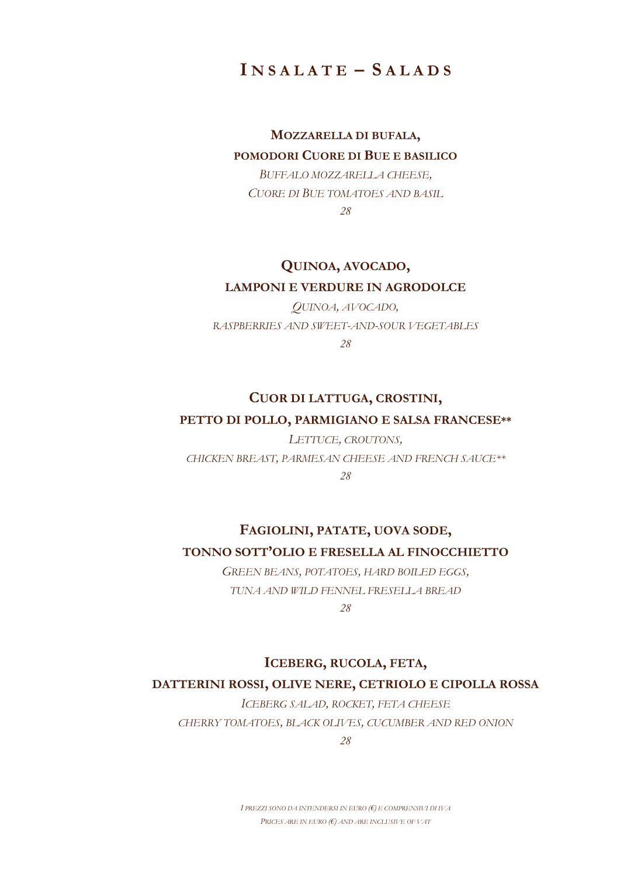**I N S A L A T E – S A L A D S**

# **MOZZARELLA DI BUFALA, POMODORI CUORE DI BUE E BASILICO**

*BUFFALO MOZZARELLA CHEESE, CUORE DI BUE TOMATOES AND BASIL 28*

# **QUINOA, AVOCADO, LAMPONI E VERDURE IN AGRODOLCE**

*QUINOA, AVOCADO, RASPBERRIES AND SWEET-AND-SOUR VEGETABLES 28*

# **CUOR DI LATTUGA, CROSTINI, PETTO DI POLLO, PARMIGIANO E SALSA FRANCESE\*\***

*LETTUCE, CROUTONS, CHICKEN BREAST, PARMESAN CHEESE AND FRENCH SAUCE\*\* 28*

# **FAGIOLINI, PATATE, UOVA SODE, TONNO SOTT'OLIO E FRESELLA AL FINOCCHIETTO**

*GREEN BEANS, POTATOES, HARD BOILED EGGS, TUNA AND WILD FENNEL FRESELLA BREAD*

*28*

# **ICEBERG, RUCOLA, FETA,**

## **DATTERINI ROSSI, OLIVE NERE, CETRIOLO E CIPOLLA ROSSA**

*ICEBERG SALAD, ROCKET, FETA CHEESE CHERRY TOMATOES, BLACK OLIVES, CUCUMBER AND RED ONION*

*28*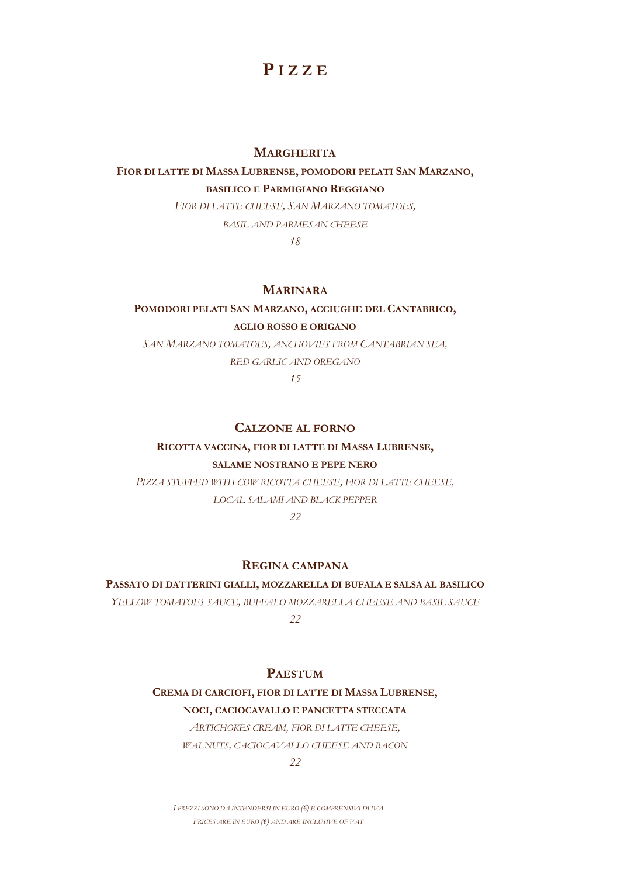# **P I Z Z E**

#### **MARGHERITA**

## **FIOR DI LATTE DI MASSA LUBRENSE, POMODORI PELATI SAN MARZANO, BASILICO E PARMIGIANO REGGIANO**

*FIOR DI LATTE CHEESE, SAN MARZANO TOMATOES,*

*BASIL AND PARMESAN CHEESE*

*18*

### **MARINARA**

# **POMODORI PELATI SAN MARZANO, ACCIUGHE DEL CANTABRICO,**

### **AGLIO ROSSO E ORIGANO**

*SAN MARZANO TOMATOES, ANCHOVIES FROM CANTABRIAN SEA, RED GARLIC AND OREGANO*

*15*

#### **CALZONE AL FORNO**

# **RICOTTA VACCINA, FIOR DI LATTE DI MASSA LUBRENSE,**

#### **SALAME NOSTRANO E PEPE NERO**

*PIZZA STUFFED WITH COW RICOTTA CHEESE, FIOR DI LATTE CHEESE, LOCAL SALAMI AND BLACK PEPPER*

*22*

#### **REGINA CAMPANA**

#### **PASSATO DI DATTERINI GIALLI, MOZZARELLA DI BUFALA E SALSA AL BASILICO**

*YELLOW TOMATOES SAUCE, BUFFALO MOZZARELLA CHEESE AND BASIL SAUCE 22*

#### **PAESTUM**

#### **CREMA DI CARCIOFI, FIOR DI LATTE DI MASSA LUBRENSE,**

**NOCI, CACIOCAVALLO E PANCETTA STECCATA**

*ARTICHOKES CREAM, FIOR DI LATTE CHEESE,*

*WALNUTS, CACIOCAVALLO CHEESE AND BACON*

*22*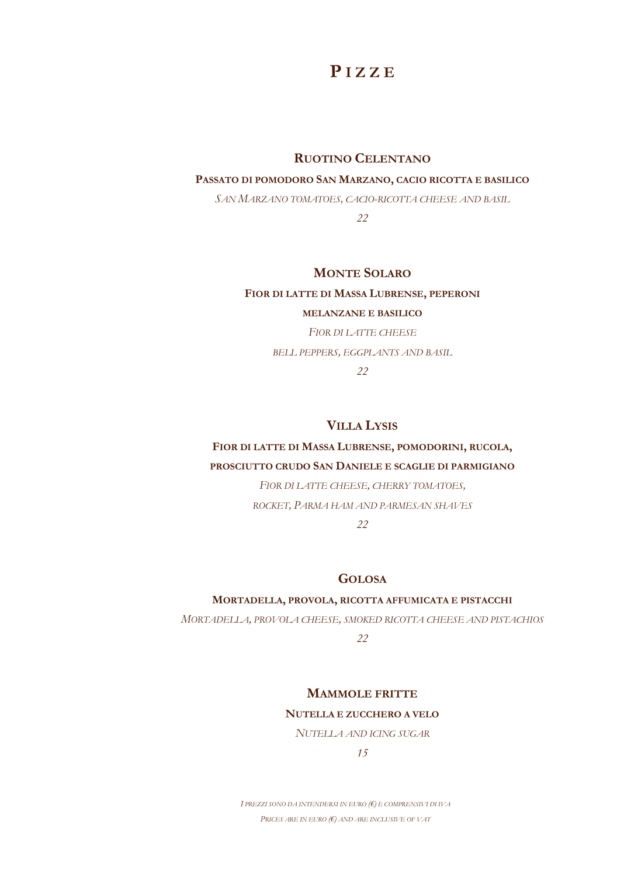# **P I Z Z E**

#### **RUOTINO CELENTANO**

#### **PASSATO DI POMODORO SAN MARZANO, CACIO RICOTTA E BASILICO**

*SAN MARZANO TOMATOES, CACIO-RICOTTA CHEESE AND BASIL*

*22*

### **MONTE SOLARO**

#### **FIOR DI LATTE DI MASSA LUBRENSE, PEPERONI**

#### **MELANZANE E BASILICO**

*FIOR DI LATTE CHEESE BELL PEPPERS, EGGPLANTS AND BASIL 22*

### **VILLA LYSIS**

# **FIOR DI LATTE DI MASSA LUBRENSE, POMODORINI, RUCOLA, PROSCIUTTO CRUDO SAN DANIELE E SCAGLIE DI PARMIGIANO**

*FIOR DI LATTE CHEESE, CHERRY TOMATOES, ROCKET, PARMA HAM AND PARMESAN SHAVES*

### *22*

#### **GOLOSA**

#### **MORTADELLA, PROVOLA, RICOTTA AFFUMICATA E PISTACCHI**

*MORTADELLA, PROVOLA CHEESE, SMOKED RICOTTA CHEESE AND PISTACHIOS*

*22*

### **MAMMOLE FRITTE**

#### **NUTELLA E ZUCCHERO A VELO**

*NUTELLA AND ICING SUGAR*

*15*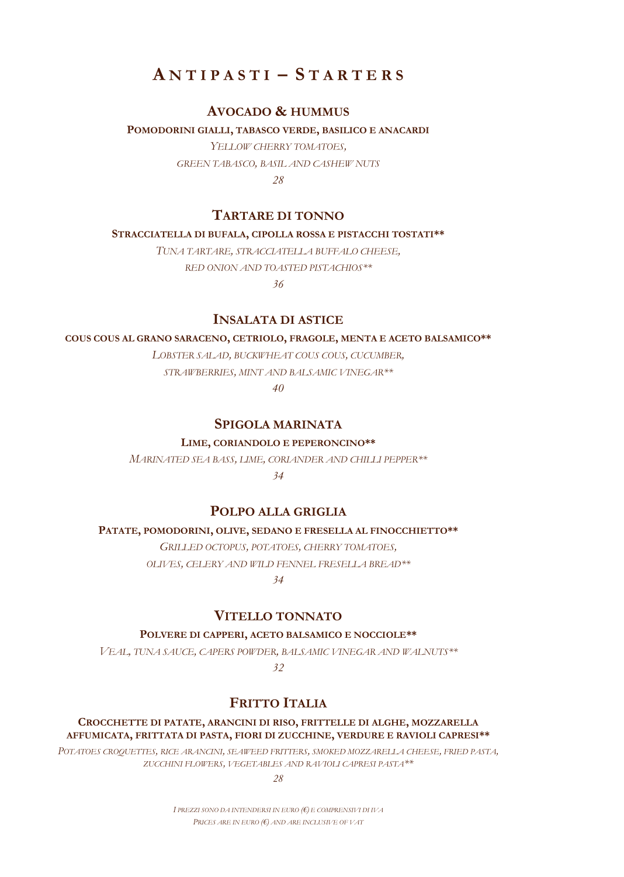# $A \nvert A \rvert = \nvert A \rvert B \rvert = \nvert A \rvert B \rvert B \rvert B \rvert$

### **AVOCADO & HUMMUS**

**POMODORINI GIALLI, TABASCO VERDE, BASILICO E ANACARDI** *YELLOW CHERRY TOMATOES, GREEN TABASCO, BASIL AND CASHEW NUTS*

*28*

# **TARTARE DI TONNO**

#### **STRACCIATELLA DI BUFALA, CIPOLLA ROSSA E PISTACCHI TOSTATI\*\***

*TUNA TARTARE, STRACCIATELLA BUFFALO CHEESE,*

*RED ONION AND TOASTED PISTACHIOS\*\**

*36*

### **INSALATA DI ASTICE**

#### **COUS COUS AL GRANO SARACENO, CETRIOLO, FRAGOLE, MENTA E ACETO BALSAMICO\*\***

*LOBSTER SALAD, BUCKWHEAT COUS COUS, CUCUMBER,*

*STRAWBERRIES, MINT AND BALSAMIC VINEGAR\*\**

*40*

## **SPIGOLA MARINATA**

### **LIME, CORIANDOLO E PEPERONCINO\*\***

*MARINATED SEA BASS, LIME, CORIANDER AND CHILLI PEPPER\*\* 34*

## **POLPO ALLA GRIGLIA**

#### **PATATE, POMODORINI, OLIVE, SEDANO E FRESELLA AL FINOCCHIETTO\*\***

*GRILLED OCTOPUS, POTATOES, CHERRY TOMATOES, OLIVES, CELERY AND WILD FENNEL FRESELLA BREAD\*\**

*34*

## **VITELLO TONNATO**

**POLVERE DI CAPPERI, ACETO BALSAMICO E NOCCIOLE\*\***

*VEAL, TUNA SAUCE, CAPERS POWDER, BALSAMIC VINEGAR AND WALNUTS\*\**

*32*

# **FRITTO ITALIA**

**CROCCHETTE DI PATATE, ARANCINI DI RISO, FRITTELLE DI ALGHE, MOZZARELLA AFFUMICATA, FRITTATA DI PASTA, FIORI DI ZUCCHINE, VERDURE E RAVIOLI CAPRESI\*\***

*POTATOES CROQUETTES, RICE ARANCINI, SEAWEED FRITTERS, SMOKED MOZZARELLA CHEESE, FRIED PASTA, ZUCCHINI FLOWERS, VEGETABLES AND RAVIOLI CAPRESI PASTA\*\**

*28*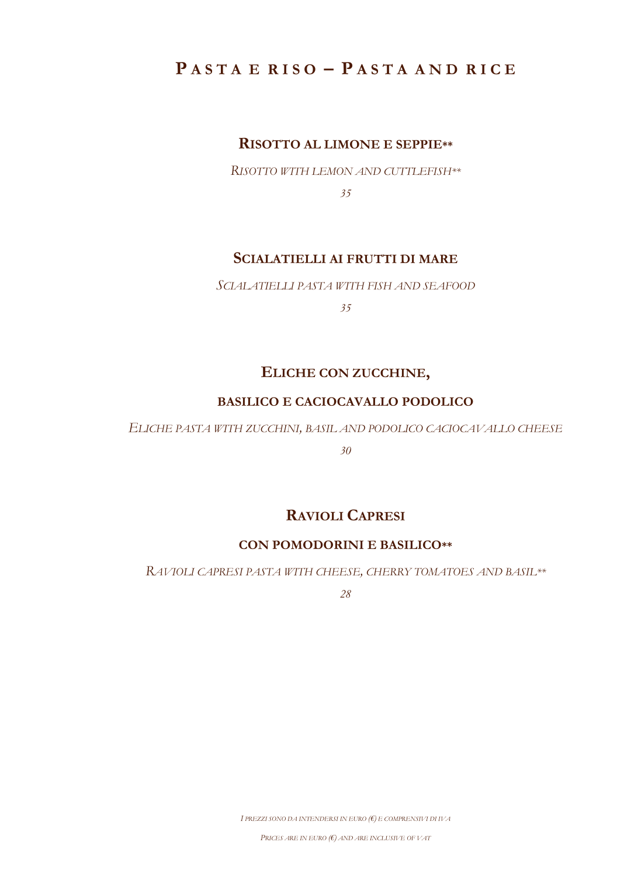# **P A S T A E R I S O – P A S T A A N D R I C E**

# **RISOTTO AL LIMONE E SEPPIE\*\***

*RISOTTO WITH LEMON AND CUTTLEFISH\*\**

*35*

# **SCIALATIELLI AI FRUTTI DI MARE**

*SCIALATIELLI PASTA WITH FISH AND SEAFOOD*

*35*

# **ELICHE CON ZUCCHINE,**

## **BASILICO E CACIOCAVALLO PODOLICO**

*ELICHE PASTA WITH ZUCCHINI, BASIL AND PODOLICO CACIOCAVALLO CHEESE*

*30*

# **RAVIOLI CAPRESI**

## **CON POMODORINI E BASILICO\*\***

*RAVIOLI CAPRESI PASTA WITH CHEESE, CHERRY TOMATOES AND BASIL\*\**

*28*

*I PREZZI SONO DA INTENDERSI IN EURO (€) E COMPRENSIVI DI IVA*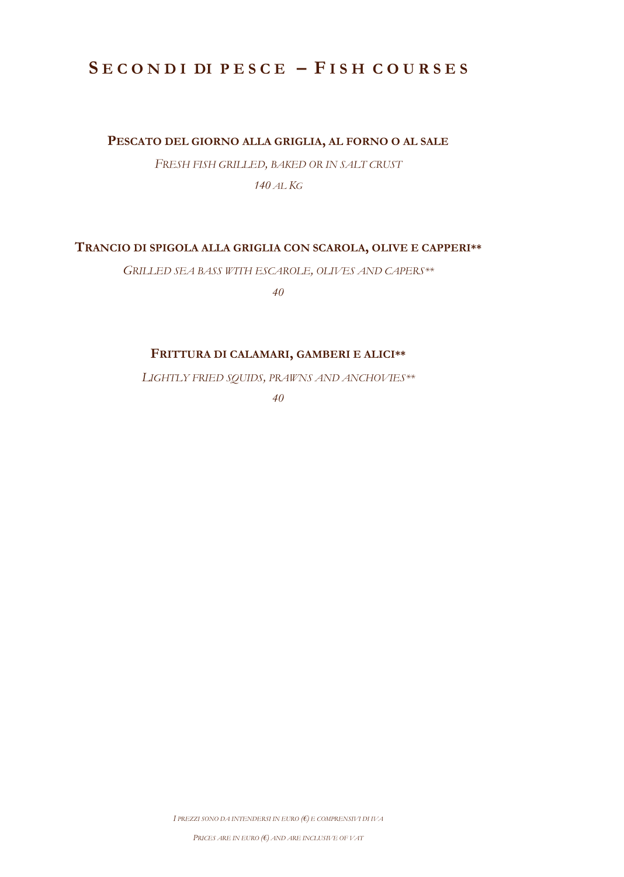# **S E C O N D I DI P E S C E – F I S H C O U R S E S**

### **PESCATO DEL GIORNO ALLA GRIGLIA, AL FORNO O AL SALE**

*FRESH FISH GRILLED, BAKED OR IN SALT CRUST 140 AL KG*

**TRANCIO DI SPIGOLA ALLA GRIGLIA CON SCAROLA, OLIVE E CAPPERI\*\***

*GRILLED SEA BASS WITH ESCAROLE, OLIVES AND CAPERS\*\**

*40*

### **FRITTURA DI CALAMARI, GAMBERI E ALICI\*\***

*LIGHTLY FRIED SQUIDS, PRAWNS AND ANCHOVIES\*\**

*40*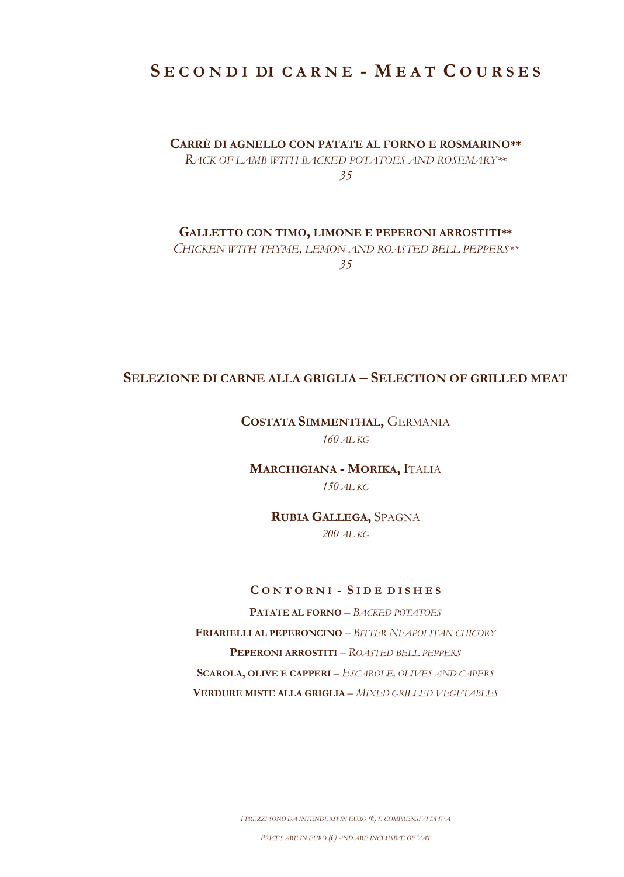# **S E C O N D I DI C A R N E - M E A T C O U R S E S**

## **CARRÈ DI AGNELLO CON PATATE AL FORNO E ROSMARINO\*\***

*RACK OF LAMB WITH BACKED POTATOES AND ROSEMARY\*\* 35*

**GALLETTO CON TIMO, LIMONE E PEPERONI ARROSTITI\*\***

*CHICKEN WITH THYME, LEMON AND ROASTED BELL PEPPERS\*\**

*35*

# **SELEZIONE DI CARNE ALLA GRIGLIA – SELECTION OF GRILLED MEAT**

### **COSTATA SIMMENTHAL,** GERMANIA *160 AL KG*

**MARCHIGIANA - MORIKA,** ITALIA *150 AL KG*

> **RUBIA GALLEGA,** SPAGNA *200 AL KG*

### **C O N T O R N I - S I D E D I S H E S**

**PATATE AL FORNO** *– BACKED POTATOES* **FRIARIELLI AL PEPERONCINO** *– BITTER NEAPOLITAN CHICORY* **PEPERONI ARROSTITI** *– ROASTED BELL PEPPERS* **SCAROLA, OLIVE E CAPPERI** *– ESCAROLE, OLIVES AND CAPERS* **VERDURE MISTE ALLA GRIGLIA** *– MIXED GRILLED VEGETABLES*

*I PREZZI SONO DA INTENDERSI IN EURO (€) E COMPRENSIVI DI IVA*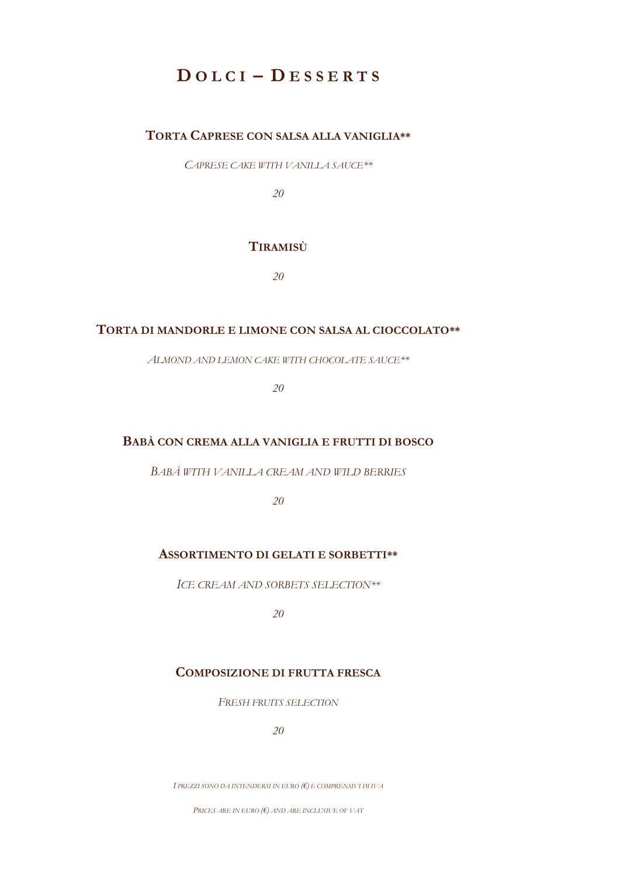# **D O L C I – D E S S E R T S**

# **TORTA CAPRESE CON SALSA ALLA VANIGLIA\*\***

*CAPRESE CAKE WITH VANILLA SAUCE\*\**

*20*

### **TIRAMISÙ**

*20*

## **TORTA DI MANDORLE E LIMONE CON SALSA AL CIOCCOLATO\*\***

*ALMOND AND LEMON CAKE WITH CHOCOLATE SAUCE\*\**

*20*

#### **BABÀ CON CREMA ALLA VANIGLIA E FRUTTI DI BOSCO**

*BABÀ WITH VANILLA CREAM AND WILD BERRIES*

*20*

### **ASSORTIMENTO DI GELATI E SORBETTI\*\***

*ICE CREAM AND SORBETS SELECTION\*\**

*20*

## **COMPOSIZIONE DI FRUTTA FRESCA**

*FRESH FRUITS SELECTION*

*20*

*I PREZZI SONO DA INTENDERSI IN EURO (€) E COMPRENSIVI DI IVA*

*PRICES ARE IN EURO (€) AND ARE INCLUSIVE OF VAT*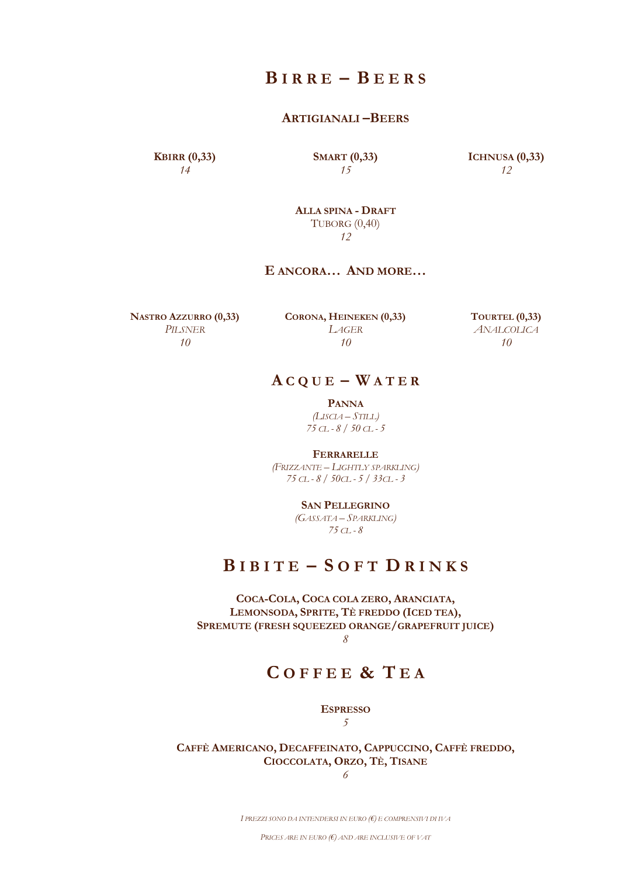# **B I R R E – B E E R S**

#### **ARTIGIANALI –BEERS**

**KBIRR (0,33)** *14*

**SMART (0,33)** *15*

**ICHNUSA (0,33)** *12*

**ALLA SPINA - DRAFT** TUBORG (0,40) *12*

## **E ANCORA… AND MORE…**

**NASTRO AZZURRO (0,33)** *PILSNER 10*

**CORONA, HEINEKEN (0,33)** *LAGER 10*

**TOURTEL (0,33)** *ANALCOLICA 10*

# $ACQUE - WATER$

**PANNA** *(LISCIA – STILL) 75 CL - 8 / 50 CL - 5*

**FERRARELLE** *(FRIZZANTE – LIGHTLY SPARKLING) 75 CL - 8 / 50CL - 5 / 33CL - 3*

> **SAN PELLEGRINO** *(GASSATA – SPARKLING)*

*75 CL - 8*

# **B I B I T E – S O F T D R I N K S**

**COCA-COLA, COCA COLA ZERO, ARANCIATA, LEMONSODA, SPRITE, TÈ FREDDO (ICED TEA), SPREMUTE (FRESH SQUEEZED ORANGE/GRAPEFRUIT JUICE)** *8*

# **C O F F E E & T E A**

**ESPRESSO** *5*

**CAFFÈ AMERICANO, DECAFFEINATO, CAPPUCCINO, CAFFÈ FREDDO, CIOCCOLATA, ORZO, TÈ, TISANE**

*6*

*I PREZZI SONO DA INTENDERSI IN EURO (€) E COMPRENSIVI DI IVA*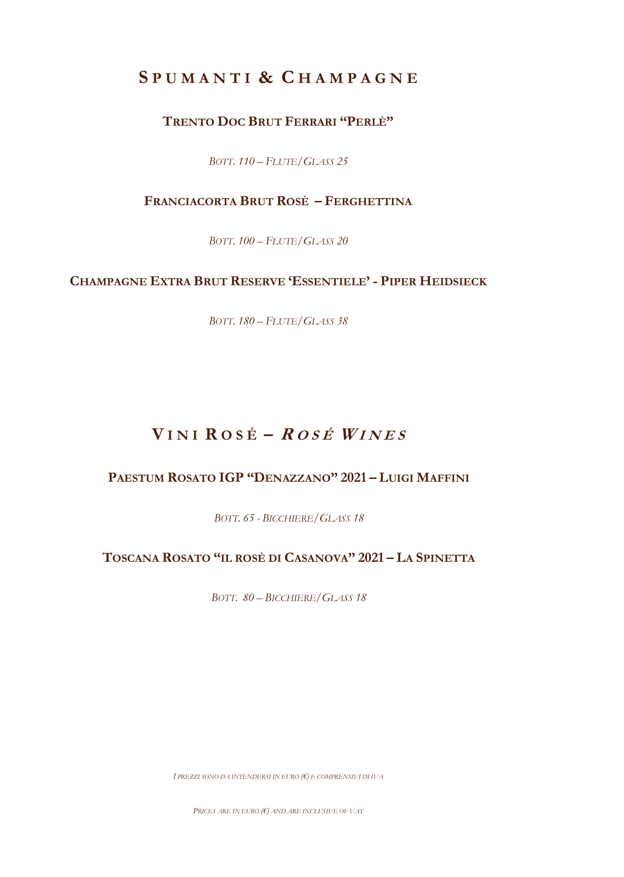# **S P U M A N T I & C H A M P A G N E**

# **TRENTO DOC BRUT FERRARI "PERLÈ"**

*BOTT. 110 – FLUTE/GLASS 25*

# **FRANCIACORTA BRUT ROSÈ – FERGHETTINA**

*BOTT. 100 – FLUTE/GLASS 20*

# **CHAMPAGNE EXTRA BRUT RESERVE 'ESSENTIELE' - PIPER HEIDSIECK**

*BOTT. 180 – FLUTE/GLASS 38*

# $V$  **INI**  $R$   $0$   $S$   $E$   $R$   $0$   $S$  $E$   $W$   $I$   $N$   $E$   $S$

# **PAESTUM ROSATO IGP "DENAZZANO" 2021 – LUIGI MAFFINI**

*BOTT. 65 - BICCHIERE/GLASS 18*

# **TOSCANA ROSATO "IL ROSÈ DI CASANOVA" 2021 – LA SPINETTA**

*BOTT. 80 – BICCHIERE/GLASS 18*

*I PREZZI SONO DA INTENDERSI IN EURO (€) E COMPRENSIVI DI IVA*

*PRICES ARE IN EURO (€) AND ARE INCLUSIVE OF VAT*